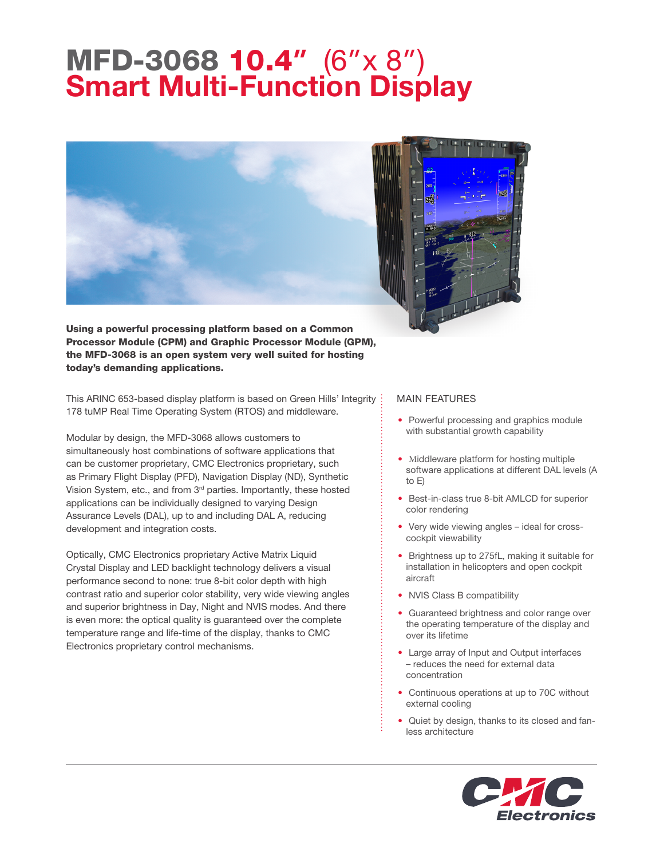## MFD-3068 10.4" (6"x 8") **Smart Multi-Function Display**





Using a powerful processing platform based on a Common Processor Module (CPM) and Graphic Processor Module (GPM), the MFD-3068 is an open system very well suited for hosting today's demanding applications.

This ARINC 653-based display platform is based on Green Hills' Integrity 178 tuMP Real Time Operating System (RTOS) and middleware.

Modular by design, the MFD-3068 allows customers to simultaneously host combinations of software applications that can be customer proprietary, CMC Electronics proprietary, such as Primary Flight Display (PFD), Navigation Display (ND), Synthetic Vision System, etc., and from 3<sup>rd</sup> parties. Importantly, these hosted applications can be individually designed to varying Design Assurance Levels (DAL), up to and including DAL A, reducing development and integration costs.

Optically, CMC Electronics proprietary Active Matrix Liquid Crystal Display and LED backlight technology delivers a visual performance second to none: true 8-bit color depth with high contrast ratio and superior color stability, very wide viewing angles and superior brightness in Day, Night and NVIS modes. And there is even more: the optical quality is guaranteed over the complete temperature range and life-time of the display, thanks to CMC Electronics proprietary control mechanisms.

## MAIN FEATURES

- Powerful processing and graphics module with substantial growth capability
- Middleware platform for hosting multiple software applications at different DAL levels (A to E)
- Best-in-class true 8-bit AMLCD for superior color rendering
- Very wide viewing angles ideal for crosscockpit viewability
- Brightness up to 275fL, making it suitable for installation in helicopters and open cockpit aircraft
- NVIS Class B compatibility
- Guaranteed brightness and color range over the operating temperature of the display and over its lifetime
- Large array of Input and Output interfaces – reduces the need for external data concentration
- Continuous operations at up to 70C without external cooling
- Quiet by design, thanks to its closed and fanless architecture